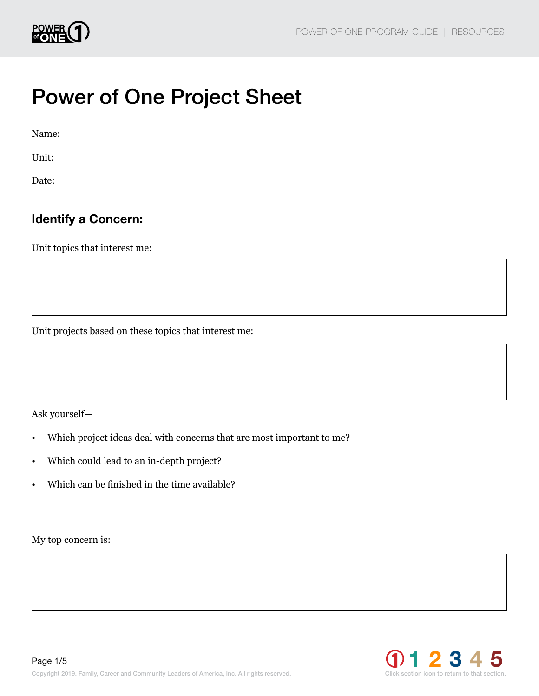

# Power of One Project Sheet

Name:

Unit:

Date:

# Identify a Concern:

Unit topics that interest me:

Unit projects based on these topics that interest me:

Ask yourself—

- Which project ideas deal with concerns that are most important to me?
- Which could lead to an in-depth project?
- Which can be finished in the time available?

My top concern is:

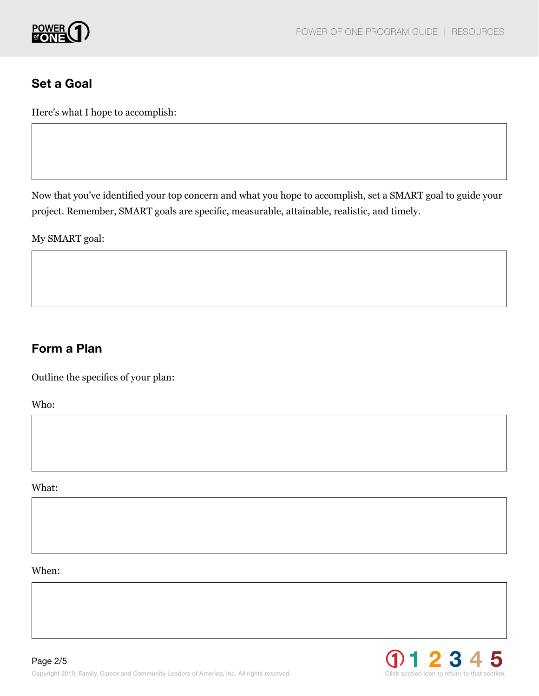

### Set a Goal

Here's what I hope to accomplish:

Now that you've identified your top concern and what you hope to accomplish, set a SMART goal to guide your project. Remember, SMART goals are specific, measurable, attainable, realistic, and timely.

My SMART goal:

## Form a Plan

Outline the specifics of your plan:

Who:

What:

When:

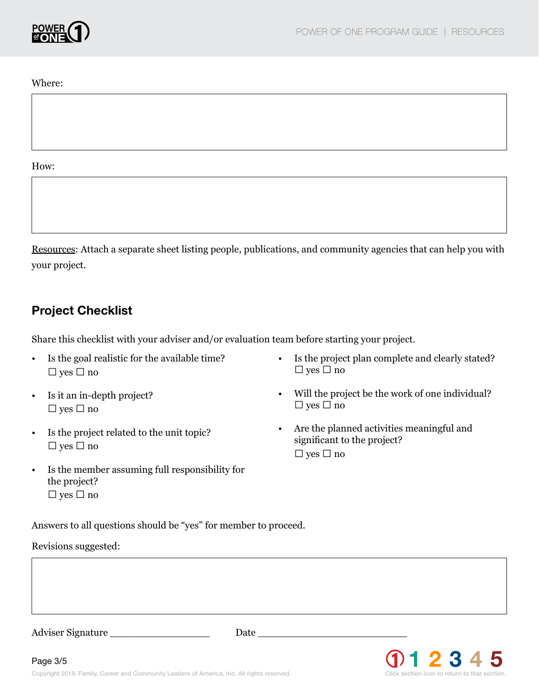

Where:

#### How:

Resources: Attach a separate sheet listing people, publications, and community agencies that can help you with your project.

### Project Checklist

Share this checklist with your adviser and/or evaluation team before starting your project.

- Is the goal realistic for the available time? ❑ yes ❑ no
- Is it an in-depth project? ❑ yes ❑ no
- Is the project related to the unit topic? ❑ yes ❑ no
- Is the member assuming full responsibility for the project? ❑ yes ❑ no
- Is the project plan complete and clearly stated? ❑ yes ❑ no
- Will the project be the work of one individual? ❑ yes ❑ no
- Are the planned activities meaningful and significant to the project? ❑ yes ❑ no

Answers to all questions should be "yes" for member to proceed.

#### Revisions suggested:

Adviser Signature \_\_\_\_\_\_\_\_\_\_\_\_\_\_\_\_ Date \_\_\_\_\_\_\_\_\_\_\_\_\_\_\_\_\_\_\_\_\_\_\_\_

Page 3/5

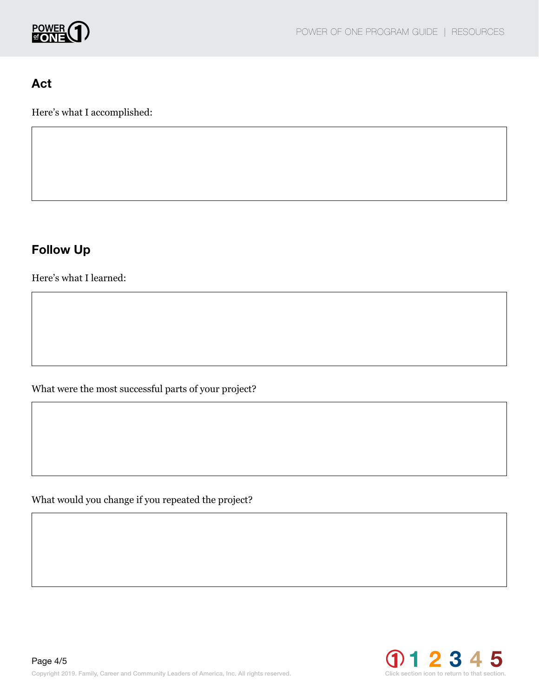

## Act

Here's what I accomplished:

# Follow Up

Here's what I learned:

What were the most successful parts of your project?

What would you change if you repeated the project?